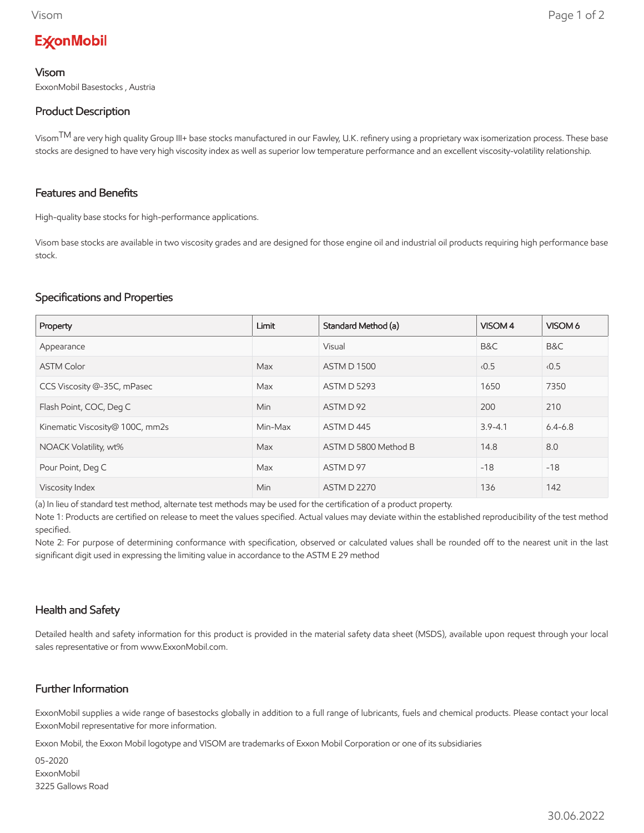# **ExconMobil**

#### Visom

ExxonMobil Basestocks , Austria

### Product Description

Visom<sup>TM</sup> are very high quality Group III+ base stocks manufactured in our Fawley, U.K. refinery using a proprietary wax isomerization process. These base stocks are designed to have very high viscosity index as well as superior low temperature performance and an excellent viscosity-volatility relationship.

### Features and Benefits

High-quality base stocks for high-performance applications.

Visom base stocks are available in two viscosity grades and are designed for those engine oil and industrial oil products requiring high performance base stock.

### Specifications and Properties

| Property                        | Limit   | Standard Method (a)  | VISOM 4     | VISOM 6     |
|---------------------------------|---------|----------------------|-------------|-------------|
| Appearance                      |         | Visual               | B&C         | B&C         |
| <b>ASTM Color</b>               | Max     | <b>ASTM D 1500</b>   | 0.5         | 0.5         |
| CCS Viscosity @-35C, mPasec     | Max     | <b>ASTM D 5293</b>   | 1650        | 7350        |
| Flash Point, COC, Deg C         | Min     | ASTM D 92            | 200         | 210         |
| Kinematic Viscosity@ 100C, mm2s | Min-Max | ASTM D445            | $3.9 - 4.1$ | $6.4 - 6.8$ |
| NOACK Volatility, wt%           | Max     | ASTM D 5800 Method B | 14.8        | 8.0         |
| Pour Point, Deg C               | Max     | ASTM D 97            | $-18$       | $-18$       |
| Viscosity Index                 | Min     | <b>ASTM D 2270</b>   | 136         | 142         |

(a) In lieu of standard test method, alternate test methods may be used for the certification of a product property.

Note 1: Products are certified on release to meet the values specified. Actual values may deviate within the established reproducibility of the test method specified.

Note 2: For purpose of determining conformance with specification, observed or calculated values shall be rounded off to the nearest unit in the last significant digit used in expressing the limiting value in accordance to the ASTM E 29 method

# Health and Safety

Detailed health and safety information for this product is provided in the material safety data sheet (MSDS), available upon request through your local sales representative or from www.ExxonMobil.com.

# Further Information

ExxonMobil supplies a wide range of basestocks globally in addition to a full range of lubricants, fuels and chemical products. Please contact your local ExxonMobil representative for more information.

Exxon Mobil, the Exxon Mobil logotype and VISOM are trademarks of Exxon Mobil Corporation or one of its subsidiaries

05-2020 **ExxonMobil** 3225 Gallows Road